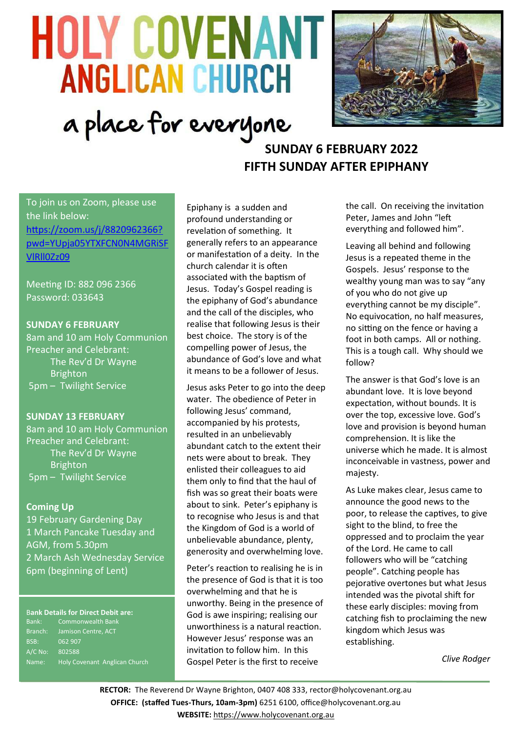# **HOLY COVENANT ANGLICAN CHURCH** a place for everyone



# **SUNDAY 6 FEBRUARY 2022 FIFTH SUNDAY AFTER EPIPHANY**

To join us on Zoom, please use the link below: [https://zoom.us/j/8820962366?](https://zoom.us/j/8820962366?pwd=YUpja05YTXFCN0N4MGRiSFVlRll0Zz09) [pwd=YUpja05YTXFCN0N4MGRiSF](https://zoom.us/j/8820962366?pwd=YUpja05YTXFCN0N4MGRiSFVlRll0Zz09) [VlRll0Zz09](https://zoom.us/j/8820962366?pwd=YUpja05YTXFCN0N4MGRiSFVlRll0Zz09)

Meeting ID: 882 096 2366 Password: 033643

# **SUNDAY 6 FEBRUARY**

8am and 10 am Holy Communion Preacher and Celebrant: The Rev'd Dr Wayne Brighton 5pm – Twilight Service

# **SUNDAY 13 FEBRUARY**

8am and 10 am Holy Communion Preacher and Celebrant: The Rev'd Dr Wayne **Brighton** 5pm – Twilight Service

# **Coming Up**

19 February Gardening Day 1 March Pancake Tuesday and AGM, from 5.30pm 2 March Ash Wednesday Service 6pm (beginning of Lent)

#### B**ank Details for Direct Debit are:**

Bank: Commonwealth Bank Branch: Jamison Centre, ACT BSB: 062 907 A/C No: 802588 Name: Holy Covenant Anglican Church Epiphany is a sudden and profound understanding or revelation of something. It generally refers to an appearance or manifestation of a deity. In the church calendar it is often associated with the baptism of Jesus. Today's Gospel reading is the epiphany of God's abundance and the call of the disciples, who realise that following Jesus is their best choice. The story is of the compelling power of Jesus, the abundance of God's love and what it means to be a follower of Jesus.

Jesus asks Peter to go into the deep water. The obedience of Peter in following Jesus' command, accompanied by his protests, resulted in an unbelievably abundant catch to the extent their nets were about to break. They enlisted their colleagues to aid them only to find that the haul of fish was so great their boats were about to sink. Peter's epiphany is to recognise who Jesus is and that the Kingdom of God is a world of unbelievable abundance, plenty, generosity and overwhelming love.

Peter's reaction to realising he is in the presence of God is that it is too overwhelming and that he is unworthy. Being in the presence of God is awe inspiring; realising our unworthiness is a natural reaction. However Jesus' response was an invitation to follow him. In this Gospel Peter is the first to receive

the call. On receiving the invitation Peter, James and John "left everything and followed him".

Leaving all behind and following Jesus is a repeated theme in the Gospels. Jesus' response to the wealthy young man was to say "any of you who do not give up everything cannot be my disciple". No equivocation, no half measures, no sitting on the fence or having a foot in both camps. All or nothing. This is a tough call. Why should we follow?

The answer is that God's love is an abundant love. It is love beyond expectation, without bounds. It is over the top, excessive love. God's love and provision is beyond human comprehension. It is like the universe which he made. It is almost inconceivable in vastness, power and majesty.

As Luke makes clear, Jesus came to announce the good news to the poor, to release the captives, to give sight to the blind, to free the oppressed and to proclaim the year of the Lord. He came to call followers who will be "catching people". Catching people has pejorative overtones but what Jesus intended was the pivotal shift for these early disciples: moving from catching fish to proclaiming the new kingdom which Jesus was establishing.

*Clive Rodger*

**RECTOR:** The Reverend Dr Wayne Brighton, 0407 408 333, [rector@holycovenant.org.au](mailto:rector@holycovenant.org.au) **OFFICE: (staffed Tues-Thurs, 10am-3pm)** 6251 6100, office@holycovenant.org.au **WEBSITE:** [https://www.holycovenant.org.au](https://www.holycovenant.org.au/)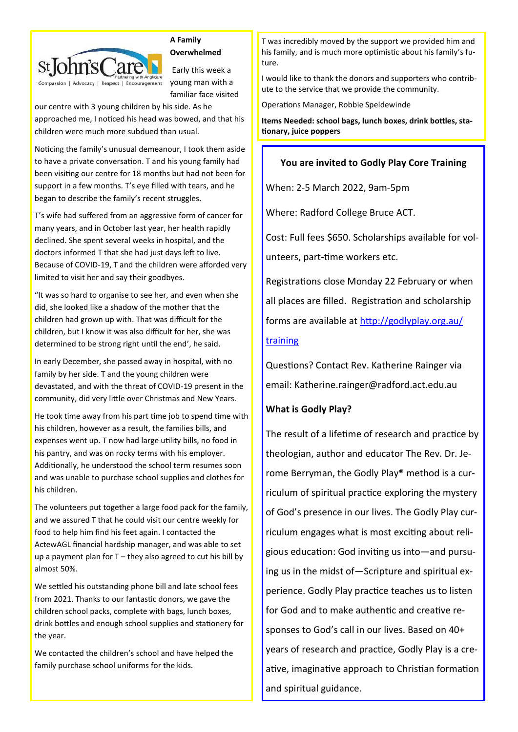

#### **A Family Overwhelmed**

Early this week a young man with a familiar face visited

our centre with 3 young children by his side. As he approached me, I noticed his head was bowed, and that his children were much more subdued than usual.

Noticing the family's unusual demeanour, I took them aside to have a private conversation. T and his young family had been visiting our centre for 18 months but had not been for support in a few months. T's eye filled with tears, and he began to describe the family's recent struggles.

T's wife had suffered from an aggressive form of cancer for many years, and in October last year, her health rapidly declined. She spent several weeks in hospital, and the doctors informed T that she had just days left to live. Because of COVID-19, T and the children were afforded very limited to visit her and say their goodbyes.

"It was so hard to organise to see her, and even when she did, she looked like a shadow of the mother that the children had grown up with. That was difficult for the children, but I know it was also difficult for her, she was determined to be strong right until the end', he said.

In early December, she passed away in hospital, with no family by her side. T and the young children were devastated, and with the threat of COVID-19 present in the community, did very little over Christmas and New Years.

He took time away from his part time job to spend time with his children, however as a result, the families bills, and expenses went up. T now had large utility bills, no food in his pantry, and was on rocky terms with his employer. Additionally, he understood the school term resumes soon and was unable to purchase school supplies and clothes for his children.

The volunteers put together a large food pack for the family, and we assured T that he could visit our centre weekly for food to help him find his feet again. I contacted the ActewAGL financial hardship manager, and was able to set up a payment plan for T – they also agreed to cut his bill by almost 50%.

We settled his outstanding phone bill and late school fees from 2021. Thanks to our fantastic donors, we gave the children school packs, complete with bags, lunch boxes, drink bottles and enough school supplies and stationery for the year.

We contacted the children's school and have helped the family purchase school uniforms for the kids.

T was incredibly moved by the support we provided him and his family, and is much more optimistic about his family's future.

I would like to thank the donors and supporters who contribute to the service that we provide the community.

Operations Manager, Robbie Speldewinde

**Items Needed: school bags, lunch boxes, drink bottles, stationary, juice poppers**

# **You are invited to Godly Play Core Training**

When: 2-5 March 2022, 9am-5pm

Where: Radford College Bruce ACT.

Cost: Full fees \$650. Scholarships available for volunteers, part-time workers etc.

Registrations close Monday 22 February or when all places are filled. Registration and scholarship forms are available at [http://godlyplay.org.au/](http://godlyplay.org.au/training)

# [training](http://godlyplay.org.au/training)

Questions? Contact Rev. Katherine Rainger via email: Katherine.rainger@radford.act.edu.au

# **What is Godly Play?**

The result of a lifetime of research and practice by theologian, author and educator The Rev. Dr. Jerome Berryman, the Godly Play® method is a curriculum of spiritual practice exploring the mystery of God's presence in our lives. The Godly Play curriculum engages what is most exciting about religious education: God inviting us into—and pursuing us in the midst of—Scripture and spiritual experience. Godly Play practice teaches us to listen for God and to make authentic and creative responses to God's call in our lives. Based on 40+ years of research and practice, Godly Play is a creative, imaginative approach to Christian formation and spiritual guidance.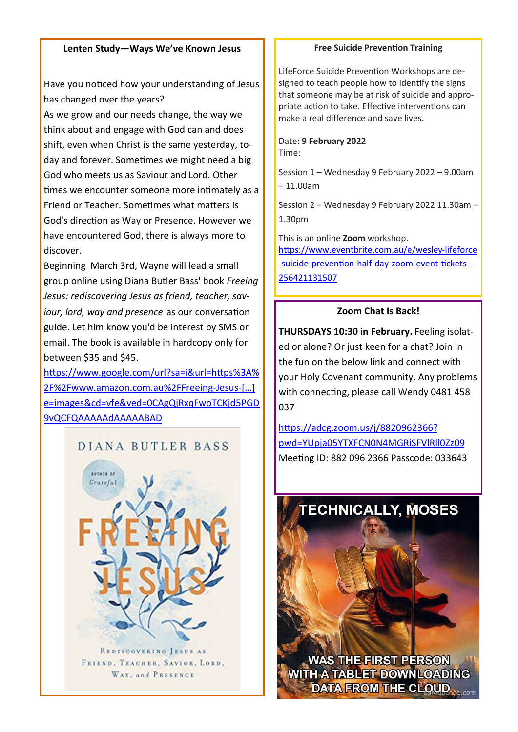# **Lenten Study—Ways We've Known Jesus**

Have you noticed how your understanding of Jesus has changed over the years?

As we grow and our needs change, the way we think about and engage with God can and does shift, even when Christ is the same yesterday, today and forever. Sometimes we might need a big God who meets us as Saviour and Lord. Other times we encounter someone more intimately as a Friend or Teacher. Sometimes what matters is God's direction as Way or Presence. However we have encountered God, there is always more to discover.

Beginning March 3rd, Wayne will lead a small group online using Diana Butler Bass' book *Freeing Jesus: rediscovering Jesus as friend, teacher, saviour, lord, way and presence* as our conversation guide. Let him know you'd be interest by SMS or email. The book is available in hardcopy only for between \$35 and \$45.

[https://www.google.com/url?sa=i&url=https%3A%](https://www.google.com/url?sa=i&url=https%3A%2F%2Fwww.amazon.com.au%2FFreeing-Jesus-Rediscovering-Teacher-Presence%2Fdp%2F0062659529&psig=AOvVaw3L4Utp_FPVKDgG6C1e7DBB&ust=1640215112941000&source=images&cd=vfe&ved=0CAgQjRxqFwoTCKjd5PGD9vQCFQAAAAAdAAAAABAD) [2F%2Fwww.amazon.com.au%2FFreeing](https://www.google.com/url?sa=i&url=https%3A%2F%2Fwww.amazon.com.au%2FFreeing-Jesus-Rediscovering-Teacher-Presence%2Fdp%2F0062659529&psig=AOvVaw3L4Utp_FPVKDgG6C1e7DBB&ust=1640215112941000&source=images&cd=vfe&ved=0CAgQjRxqFwoTCKjd5PGD9vQCFQAAAAAdAAAAABAD)-Jesus-[…] [e=images&cd=vfe&ved=0CAgQjRxqFwoTCKjd5PGD](https://www.google.com/url?sa=i&url=https%3A%2F%2Fwww.amazon.com.au%2FFreeing-Jesus-Rediscovering-Teacher-Presence%2Fdp%2F0062659529&psig=AOvVaw3L4Utp_FPVKDgG6C1e7DBB&ust=1640215112941000&source=images&cd=vfe&ved=0CAgQjRxqFwoTCKjd5PGD9vQCFQAAAAAdAAAAABAD) [9vQCFQAAAAAdAAAAABAD](https://www.google.com/url?sa=i&url=https%3A%2F%2Fwww.amazon.com.au%2FFreeing-Jesus-Rediscovering-Teacher-Presence%2Fdp%2F0062659529&psig=AOvVaw3L4Utp_FPVKDgG6C1e7DBB&ust=1640215112941000&source=images&cd=vfe&ved=0CAgQjRxqFwoTCKjd5PGD9vQCFQAAAAAdAAAAABAD)

# DIANA BUTLER BASS



REDISCOVERING JESUS AS FRIEND, TEACHER, SAVIOR, LORD. WAY, and PRESENCE

# **Free Suicide Prevention Training**

LifeForce Suicide Prevention Workshops are designed to teach people how to identify the signs that someone may be at risk of suicide and appropriate action to take. Effective interventions can make a real difference and save lives.

#### Date: **9 February 2022** Time:

Session 1 – Wednesday 9 February 2022 – 9.00am – 11.00am

Session 2 – Wednesday 9 February 2022 11.30am – 1.30pm

This is an online **Zoom** workshop. [https://www.eventbrite.com.au/e/wesley](https://www.eventbrite.com.au/e/wesley-lifeforce-suicide-prevention-half-day-zoom-event-tickets-256421131507)-lifeforce -suicide-[prevention](https://www.eventbrite.com.au/e/wesley-lifeforce-suicide-prevention-half-day-zoom-event-tickets-256421131507)-half-day-zoom-event-tickets-[256421131507](https://www.eventbrite.com.au/e/wesley-lifeforce-suicide-prevention-half-day-zoom-event-tickets-256421131507)

# **Zoom Chat Is Back!**

**THURSDAYS 10:30 in February.** Feeling isolated or alone? Or just keen for a chat? Join in the fun on the below link and connect with your Holy Covenant community. Any problems with connecting, please call Wendy 0481 458 037

[https://adcg.zoom.us/j/8820962366?](https://adcg.zoom.us/j/8820962366?pwd=YUpja05YTXFCN0N4MGRiSFVlRll0Zz09) [pwd=YUpja05YTXFCN0N4MGRiSFVlRll0Zz09](https://adcg.zoom.us/j/8820962366?pwd=YUpja05YTXFCN0N4MGRiSFVlRll0Zz09) Meeting ID: 882 096 2366 Passcode: 033643



**WAS THE FIRST PERSON WITH A TABLET DOWNLOADING DATA FROM THE CLOUD**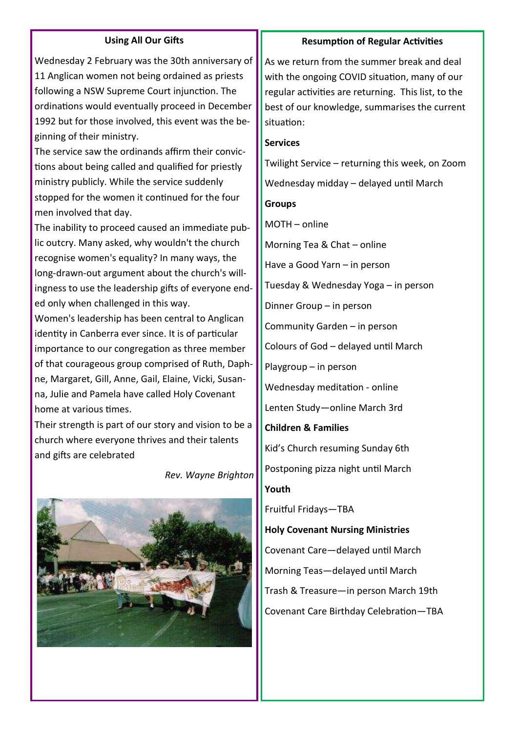# **Using All Our Gifts**

Wednesday 2 February was the 30th anniversary of 11 Anglican women not being ordained as priests following a NSW Supreme Court injunction. The ordinations would eventually proceed in December 1992 but for those involved, this event was the beginning of their ministry.

The service saw the ordinands affirm their convictions about being called and qualified for priestly ministry publicly. While the service suddenly stopped for the women it continued for the four men involved that day.

The inability to proceed caused an immediate public outcry. Many asked, why wouldn't the church recognise women's equality? In many ways, the long-drawn-out argument about the church's willingness to use the leadership gifts of everyone ended only when challenged in this way.

Women's leadership has been central to Anglican identity in Canberra ever since. It is of particular importance to our congregation as three member of that courageous group comprised of Ruth, Daphne, Margaret, Gill, Anne, Gail, Elaine, Vicki, Susanna, Julie and Pamela have called Holy Covenant home at various times.

Their strength is part of our story and vision to be a church where everyone thrives and their talents and gifts are celebrated

*Rev. Wayne Brighton*



#### **Resumption of Regular Activities**

As we return from the summer break and deal with the ongoing COVID situation, many of our regular activities are returning. This list, to the best of our knowledge, summarises the current situation:

#### **Services**

Twilight Service – returning this week, on Zoom

Wednesday midday – delayed until March

## **Groups**

MOTH – online Morning Tea & Chat – online Have a Good Yarn – in person Tuesday & Wednesday Yoga – in person Dinner Group – in person Community Garden – in person Colours of God – delayed until March Playgroup – in person Wednesday meditation - online Lenten Study—online March 3rd **Children & Families** Kid's Church resuming Sunday 6th Postponing pizza night until March **Youth** Fruitful Fridays—TBA **Holy Covenant Nursing Ministries** Covenant Care—delayed until March Morning Teas—delayed until March Trash & Treasure—in person March 19th

Covenant Care Birthday Celebration—TBA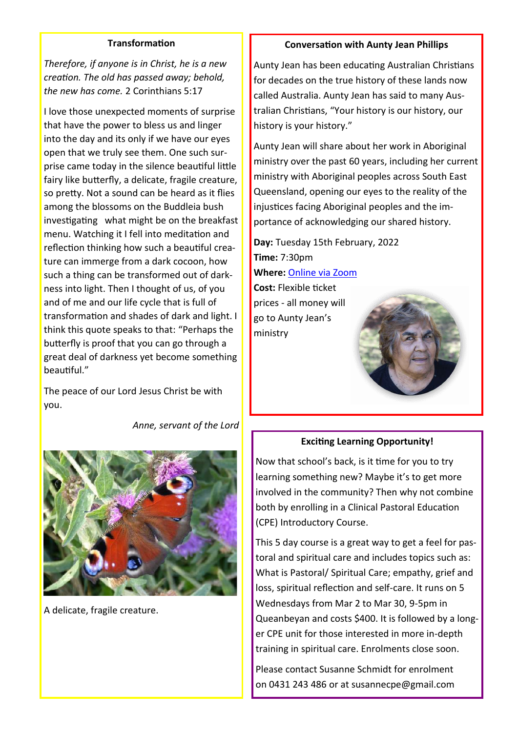# **Transformation**

*Therefore, if anyone is in Christ, he is a new creation. The old has passed away; behold, the new has come.* 2 Corinthians 5:17

I love those unexpected moments of surprise that have the power to bless us and linger into the day and its only if we have our eyes open that we truly see them. One such surprise came today in the silence beautiful little fairy like butterfly, a delicate, fragile creature, so pretty. Not a sound can be heard as it flies among the blossoms on the Buddleia bush investigating what might be on the breakfast menu. Watching it I fell into meditation and reflection thinking how such a beautiful creature can immerge from a dark cocoon, how such a thing can be transformed out of darkness into light. Then I thought of us, of you and of me and our life cycle that is full of transformation and shades of dark and light. I think this quote speaks to that: "Perhaps the butterfly is proof that you can go through a great deal of darkness yet become something beautiful."

The peace of our Lord Jesus Christ be with you.

*Anne, servant of the Lord*



A delicate, fragile creature.

#### **Conversation with Aunty Jean Phillips**

Aunty Jean has been educating Australian Christians for decades on the true history of these lands now called Australia. Aunty Jean has said to many Australian Christians, "Your history is our history, our history is your history."

Aunty Jean will share about her work in Aboriginal ministry over the past 60 years, including her current ministry with Aboriginal peoples across South East Queensland, opening our eyes to the reality of the injustices facing Aboriginal peoples and the importance of acknowledging our shared history.

**Day:** Tuesday 15th February, 2022 **Time:** 7:30pm **Where:** [Online via Zoom](https://www.commongrace.org.au/auntyjeanphillips_digitalseminar?utm_campaign=aunty_jean_digitalseminar_2022&utm_medium=email&utm_source=commongrace)

**Cost:** Flexible ticket prices - all money will go to Aunty Jean's ministry



# **Exciting Learning Opportunity!**

Now that school's back, is it time for you to try learning something new? Maybe it's to get more involved in the community? Then why not combine both by enrolling in a Clinical Pastoral Education (CPE) Introductory Course.

This 5 day course is a great way to get a feel for pastoral and spiritual care and includes topics such as: What is Pastoral/ Spiritual Care; empathy, grief and loss, spiritual reflection and self-care. It runs on 5 Wednesdays from Mar 2 to Mar 30, 9-5pm in Queanbeyan and costs \$400. It is followed by a longer CPE unit for those interested in more in-depth training in spiritual care. Enrolments close soon.

Please contact Susanne Schmidt for enrolment on 0431 243 486 or at susannecpe@gmail.com